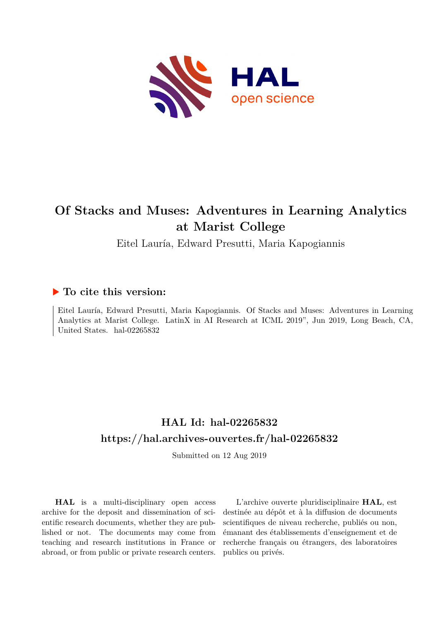

### **Of Stacks and Muses: Adventures in Learning Analytics at Marist College**

Eitel Lauría, Edward Presutti, Maria Kapogiannis

#### **To cite this version:**

Eitel Lauría, Edward Presutti, Maria Kapogiannis. Of Stacks and Muses: Adventures in Learning Analytics at Marist College. LatinX in AI Research at ICML 2019", Jun 2019, Long Beach, CA, United States. hal-02265832

### **HAL Id: hal-02265832 <https://hal.archives-ouvertes.fr/hal-02265832>**

Submitted on 12 Aug 2019

**HAL** is a multi-disciplinary open access archive for the deposit and dissemination of scientific research documents, whether they are published or not. The documents may come from teaching and research institutions in France or abroad, or from public or private research centers.

L'archive ouverte pluridisciplinaire **HAL**, est destinée au dépôt et à la diffusion de documents scientifiques de niveau recherche, publiés ou non, émanant des établissements d'enseignement et de recherche français ou étrangers, des laboratoires publics ou privés.